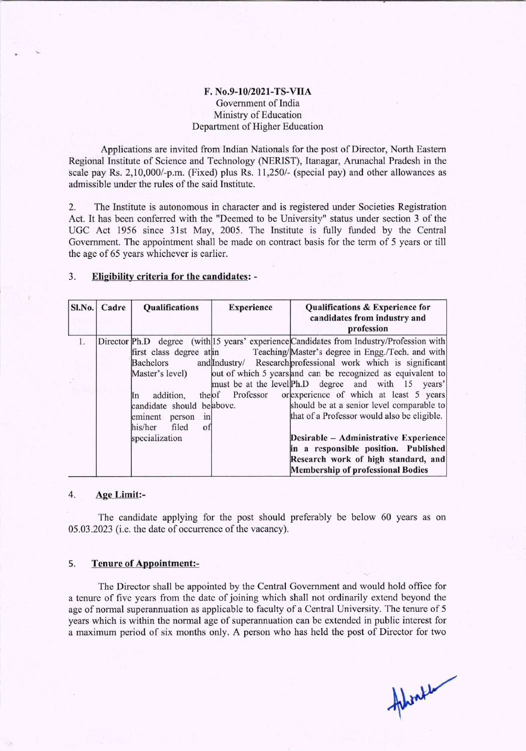## F. No.9-10/2021-TS-VIIA Covemment of lndia Ministry of Education Department of Higher Education

Applications are invited from Indian Nationals for the post of Director, North Eastern Regional Institute of Science and Technology (NERIST), ltanagar, Arunachal Pradesh in the scale pay Rs. 2,10,000/-p.m. (Fixed) plus Rs. 11,250/- (special pay) and other allowances as admissible under the rules of the said Institute.

2. The Institute is autonomous in character and is registered under Societies Registration Act. It has been conferred with the "Deemed to be University" status under section 3 of the UGC Act 1956 since 31st May, 2005. The Institute is fully funded by the Central Government. The appointment shali be made on contract basis for the term of 5 years or till the age of 65 years whichever is earlier.

## 3. Eligibility criteria for the candidates: -

| $SL$ No. | Cadre | <b>Qualifications</b>     | <b>Experience</b>  | <b>Qualifications &amp; Experience for</b><br>candidates from industry and<br>profession |
|----------|-------|---------------------------|--------------------|------------------------------------------------------------------------------------------|
|          |       |                           |                    | Director Ph.D degree (with 15 years' experience Candidates from Industry/Profession with |
|          |       | first class degree at in  |                    | Teaching/Master's degree in Engg./Tech. and with                                         |
|          |       | <b>Bachelors</b>          |                    | and Industry/ Research professional work which is significant                            |
|          |       | Master's level)           |                    | out of which 5 years and can be recognized as equivalent to                              |
|          |       |                           |                    | must be at the level Ph.D degree and with 15 years'                                      |
|          |       | addition,<br>In           | Professor<br>theof | or experience of which at least 5 years                                                  |
|          |       | candidate should beabove. |                    | should be at a senior level comparable to                                                |
|          |       | eminent<br>person<br>n    |                    | that of a Professor would also be eligible.                                              |
|          |       | filed<br>his/her<br>of    |                    |                                                                                          |
|          |       | specialization            |                    | Desirable - Administrative Experience                                                    |
|          |       |                           |                    | in a responsible position. Published                                                     |
|          |       |                           |                    | Research work of high standard, and                                                      |
|          |       |                           |                    | <b>Membership of professional Bodies</b>                                                 |

## 4. Age Limit:-

The candidate applying for the post should preferably be below 60 years as on 05.03 .2023 (i.e. the date of occurrence of the vacancy).

## 5. Tenure of Appointment:-

The Director shall be appointed by the Central Govemment and would hold office for a tenure of five years from the date of joining which shall not ordinarily extend beyond the age of normal superannuation as applicable to faculty of a Central University. The tenure of <sup>5</sup> years which is within the normal age of superannuation can be extended in public interest for a maximum period of six months only. A person who has held the post of Director for two

Ahlinke